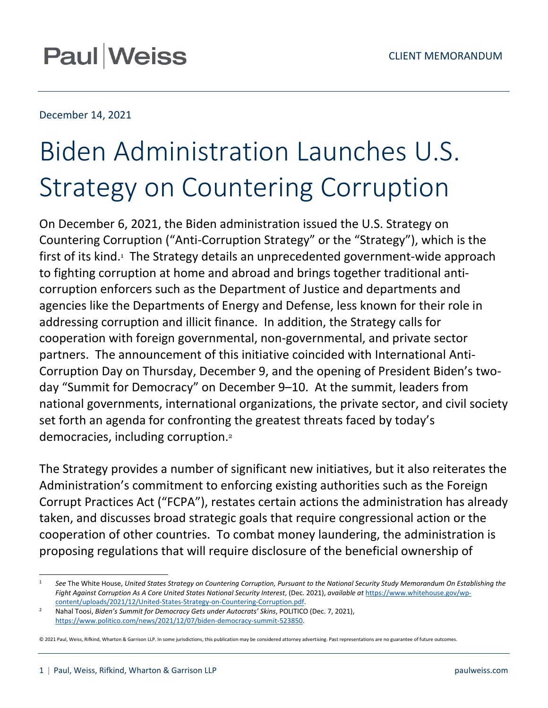# **Paul Weiss**

# December 14, 2021

# Biden Administration Launches U.S. Strategy on Countering Corruption

On December 6, 2021, the Biden administration issued the U.S. Strategy on Countering Corruption ("Anti-Corruption Strategy" or the "Strategy"), which is the firstof its kind.<sup>1</sup> The Strategy details an unprecedented government-wide approach to fighting corruption at home and abroad and brings together traditional anticorruption enforcers such as the Department of Justice and departments and agencies like the Departments of Energy and Defense, less known for their role in addressing corruption and illicit finance. In addition, the Strategy calls for cooperation with foreign governmental, non-governmental, and private sector partners. The announcement of this initiative coincided with International Anti-Corruption Day on Thursday, December 9, and the opening of President Biden's twoday "Summit for Democracy" on December 9–10. At the summit, leaders from national governments, international organizations, the private sector, and civil society set forth an agenda for confronting the greatest threats faced by today's democracies, including corruption.[2](#page-0-1)

The Strategy provides a number of significant new initiatives, but it also reiterates the Administration's commitment to enforcing existing authorities such as the Foreign Corrupt Practices Act ("FCPA"), restates certain actions the administration has already taken, and discusses broad strategic goals that require congressional action or the cooperation of other countries. To combat money laundering, the administration is proposing regulations that will require disclosure of the beneficial ownership of

<span id="page-0-0"></span><sup>1</sup> *See* The White House, *United States Strategy on Countering Corruption, Pursuant to the National Security Study Memorandum On Establishing the Fight Against Corruption As A Core United States National Security Interest*, (Dec. 2021), *available at* https://www.whitehouse.gov/wpcontent/uploads/2021/12/United-States-Strategy-on-Countering-Corruption.pdf.

<span id="page-0-1"></span> $\overline{2}$  Nahal Toosi, *Biden's Summit for Democracy Gets under Autocrats' Skins*, POLITICO (Dec. 7, 2021), https://www.politico.com/news/2021/12/07/biden-democracy-summit-523850.

<sup>© 2021</sup> Paul, Weiss, Rifkind, Wharton & Garrison LLP. In some jurisdictions, this publication may be considered attorney advertising. Past representations are no guarantee of future outcomes.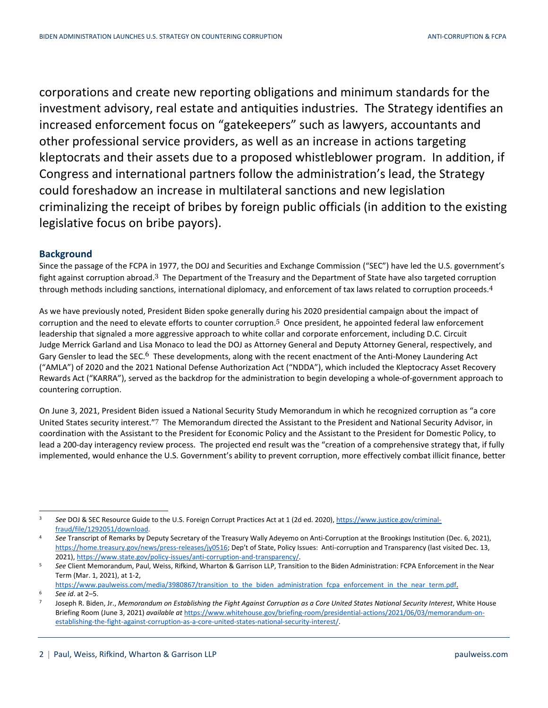corporations and create new reporting obligations and minimum standards for the investment advisory, real estate and antiquities industries. The Strategy identifies an increased enforcement focus on "gatekeepers" such as lawyers, accountants and other professional service providers, as well as an increase in actions targeting kleptocrats and their assets due to a proposed whistleblower program. In addition, if Congress and international partners follow the administration's lead, the Strategy could foreshadow an increase in multilateral sanctions and new legislation criminalizing the receipt of bribes by foreign public officials (in addition to the existing legislative focus on bribe payors).

# **Background**

Since the passage of the FCPA in 1977, the DOJ and Securities and Exchange Commission ("SEC") have led the U.S. government's fight against corruption abroad.[3](#page-1-0) The Department of the Treasury and the Department of State have also targeted corruption through methods including sanctions, international diplomacy, and enforcement of tax laws related to corruption proceeds.[4](#page-1-1)

As we have previously noted, President Biden spoke generally during his 2020 presidential campaign about the impact of corruption and the need to elevate efforts to counter corruption.<sup>[5](#page-1-2)</sup> Once president, he appointed federal law enforcement leadership that signaled a more aggressive approach to white collar and corporate enforcement, including D.C. Circuit Judge Merrick Garland and Lisa Monaco to lead the DOJ as Attorney General and Deputy Attorney General, respectively, and Gary Gensler to lead the SEC.<sup>[6](#page-1-3)</sup> These developments, along with the recent enactment of the Anti-Money Laundering Act ("AMLA") of 2020 and the 2021 National Defense Authorization Act ("NDDA"), which included the Kleptocracy Asset Recovery Rewards Act ("KARRA"), served as the backdrop for the administration to begin developing a whole-of-government approach to countering corruption.

On June 3, 2021, President Biden issued a National Security Study Memorandum in which he recognized corruption as "a core United States security interest."[7](#page-1-4) The Memorandum directed the Assistant to the President and National Security Advisor, in coordination with the Assistant to the President for Economic Policy and the Assistant to the President for Domestic Policy, to lead a 200-day interagency review process. The projected end result was the "creation of a comprehensive strategy that, if fully implemented, would enhance the U.S. Government's ability to prevent corruption, more effectively combat illicit finance, better

<span id="page-1-0"></span><sup>3</sup> *See* DOJ & SEC Resource Guide to the U.S. Foreign Corrupt Practices Act at 1 (2d ed. 2020), https://www.justice.gov/criminalfraud/file/1292051/download.

<span id="page-1-1"></span><sup>4</sup> *See* Transcript of Remarks by Deputy Secretary of the Treasury Wally Adeyemo on Anti-Corruption at the Brookings Institution (Dec. 6, 2021), https://home.treasury.gov/news/press-releases/jy0516; Dep't of State, Policy Issues: Anti-corruption and Transparency (last visited Dec. 13, 2021), https://www.state.gov/policy-issues/anti-corruption-and-transparency/.

<span id="page-1-2"></span><sup>5</sup> *See* Client Memorandum, Paul, Weiss, Rifkind, Wharton & Garrison LLP, Transition to the Biden Administration: FCPA Enforcement in the Near Term (Mar. 1, 2021), at 1-2,

<span id="page-1-3"></span>https://www.paulweiss.com/media/3980867/transition\_to\_the\_biden\_administration\_fcpa\_enforcement\_in\_the\_near\_term.pdf. <sup>6</sup> *See id*. at 2–5.

<span id="page-1-4"></span><sup>7</sup> Joseph R. Biden, Jr., *Memorandum on Establishing the Fight Against Corruption as a Core United States National Security Interest*, White House Briefing Room (June 3, 2021) *available at* https://www.whitehouse.gov/briefing-room/presidential-actions/2021/06/03/memorandum-onestablishing-the-fight-against-corruption-as-a-core-united-states-national-security-interest/.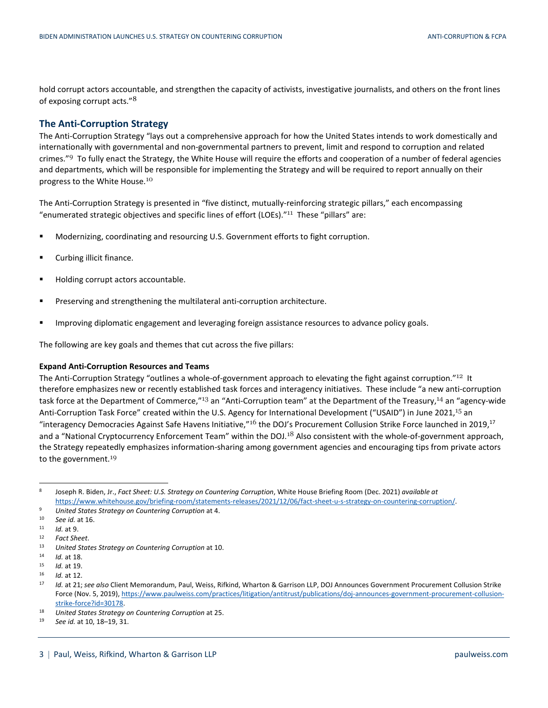hold corrupt actors accountable, and strengthen the capacity of activists, investigative journalists, and others on the front lines of exposing corrupt acts."[8](#page-2-0)

## **The Anti-Corruption Strategy**

The Anti-Corruption Strategy "lays out a comprehensive approach for how the United States intends to work domestically and internationally with governmental and non-governmental partners to prevent, limit and respond to corruption and related crimes."<sup>[9](#page-2-1)</sup> To fully enact the Strategy, the White House will require the efforts and cooperation of a number of federal agencies and departments, which will be responsible for implementing the Strategy and will be required to report annually on their progress to the White House.[10](#page-2-2)

The Anti-Corruption Strategy is presented in "five distinct, mutually-reinforcing strategic pillars," each encompassing "enumerated strategic objectives and specific lines of effort (LOEs)."<sup>[11](#page-2-3)</sup> These "pillars" are:

- Modernizing, coordinating and resourcing U.S. Government efforts to fight corruption.
- Curbing illicit finance.
- **Holding corrupt actors accountable.**
- Preserving and strengthening the multilateral anti-corruption architecture.
- **Improving diplomatic engagement and leveraging foreign assistance resources to advance policy goals.**

The following are key goals and themes that cut across the five pillars:

#### **Expand Anti-Corruption Resources and Teams**

The Anti-Corruption Strategy "outlines a whole-of-government approach to elevating the fight against corruption."<sup>[12](#page-2-4)</sup> It therefore emphasizes new or recently established task forces and interagency initiatives. These include "a new anti-corruption task force at the Department of Commerce,"<sup>[13](#page-2-5)</sup> an "Anti-Corruption team" at the Department of the Treasury,<sup>[14](#page-2-6)</sup> an "agency-wide Anti-Corruption Task Force" created within the U.S. Agency for International Development ("USAID") in June 2021,[15](#page-2-7) an "interagency Democracies Against Safe Havens Initiative,"<sup>[16](#page-2-8)</sup> the DOJ's Procurement Collusion Strike Force launched in 2019.<sup>[17](#page-2-9)</sup> and a "National Cryptocurrency Enforcement Team" within the DOJ.<sup>[18](#page-2-10)</sup> Also consistent with the whole-of-government approach, the Strategy repeatedly emphasizes information-sharing among government agencies and encouraging tips from private actors to the government.<sup>[19](#page-2-11)</sup>

<span id="page-2-0"></span><sup>8</sup> Joseph R. Biden, Jr., *Fact Sheet: U.S. Strategy on Countering Corruption*, White House Briefing Room (Dec. 2021) *available at* https://www.whitehouse.gov/briefing-room/statements-releases/2021/12/06/fact-sheet-u-s-strategy-on-countering-corruption/.

<span id="page-2-2"></span><span id="page-2-1"></span><sup>9</sup> *United States Strategy on Countering Corruption* at 4.

<span id="page-2-3"></span><sup>10</sup> *See id.* at 16.

<span id="page-2-4"></span><sup>11</sup> *Id.* at 9.

<span id="page-2-5"></span><sup>12</sup> *Fact Sheet*.

<span id="page-2-6"></span><sup>13</sup> *United States Strategy on Countering Corruption* at 10.

<span id="page-2-7"></span><sup>14</sup> *Id.* at 18.

<span id="page-2-8"></span><sup>15</sup> *Id.* at 19.

<span id="page-2-9"></span><sup>16</sup> *Id.* at 12.

Id. at 21; see also Client Memorandum, Paul, Weiss, Rifkind, Wharton & Garrison LLP, DOJ Announces Government Procurement Collusion Strike Force (Nov. 5, 2019), https://www.paulweiss.com/practices/litigation/antitrust/publications/doj-announces-government-procurement-collusionstrike-force?id=30178.

<span id="page-2-11"></span><span id="page-2-10"></span><sup>18</sup> *United States Strategy on Countering Corruption* at 25.

<sup>19</sup> *See id.* at 10, 18–19, 31.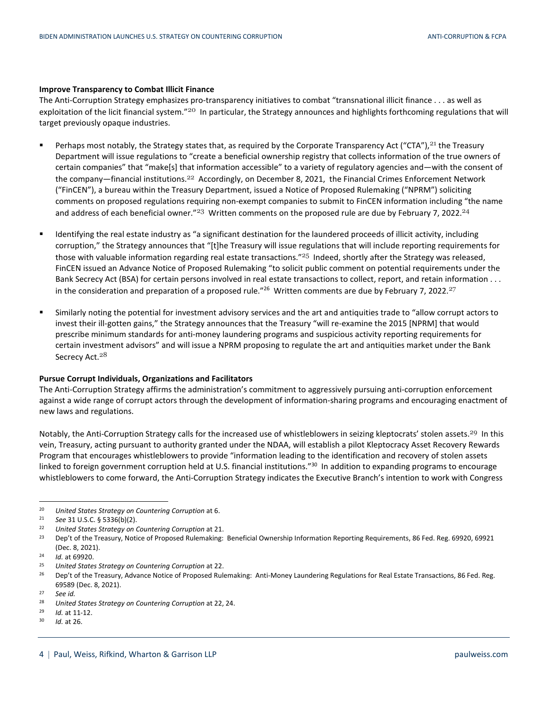#### **Improve Transparency to Combat Illicit Finance**

The Anti-Corruption Strategy emphasizes pro-transparency initiatives to combat "transnational illicit finance . . . as well as exploitation of the licit financial system."<sup>[20](#page-3-0)</sup> In particular, the Strategy announces and highlights forthcoming regulations that will target previously opaque industries.

- Perhaps most notably, the Strategy states that, as required by the Corporate Transparency Act ("CTA"),<sup>[21](#page-3-1)</sup> the Treasury Department will issue regulations to "create a beneficial ownership registry that collects information of the true owners of certain companies" that "make[s] that information accessible" to a variety of regulatory agencies and—with the consent of the company—financial institutions.<sup>[22](#page-3-2)</sup> Accordingly, on December 8, 2021, the Financial Crimes Enforcement Network ("FinCEN"), a bureau within the Treasury Department, issued a Notice of Proposed Rulemaking ("NPRM") soliciting comments on proposed regulations requiring non-exempt companies to submit to FinCEN information including "the name and address of each beneficial owner."<sup>[23](#page-3-3)</sup> Written comments on the proposed rule are due by February 7, 2022.<sup>[24](#page-3-4)</sup>
- Identifying the real estate industry as "a significant destination for the laundered proceeds of illicit activity, including corruption," the Strategy announces that "[t]he Treasury will issue regulations that will include reporting requirements for those with valuable information regarding real estate transactions." $^{25}$  $^{25}$  $^{25}$  Indeed, shortly after the Strategy was released, FinCEN issued an Advance Notice of Proposed Rulemaking "to solicit public comment on potential requirements under the Bank Secrecy Act (BSA) for certain persons involved in real estate transactions to collect, report, and retain information . . . inthe consideration and preparation of a proposed rule."<sup>26</sup> Written comments are due by February 7, 2022.<sup>[27](#page-3-7)</sup>
- Similarly noting the potential for investment advisory services and the art and antiquities trade to "allow corrupt actors to invest their ill-gotten gains," the Strategy announces that the Treasury "will re-examine the 2015 [NPRM] that would prescribe minimum standards for anti-money laundering programs and suspicious activity reporting requirements for certain investment advisors" and will issue a NPRM proposing to regulate the art and antiquities market under the Bank Secrecy Act.<sup>[28](#page-3-8)</sup>

#### **Pursue Corrupt Individuals, Organizations and Facilitators**

The Anti-Corruption Strategy affirms the administration's commitment to aggressively pursuing anti-corruption enforcement against a wide range of corrupt actors through the development of information-sharing programs and encouraging enactment of new laws and regulations.

Notably, the Anti-Corruption Strategy calls for the increased use of whistleblowers in seizing kleptocrats' stolen assets.<sup>[29](#page-3-9)</sup> In this vein, Treasury, acting pursuant to authority granted under the NDAA, will establish a pilot Kleptocracy Asset Recovery Rewards Program that encourages whistleblowers to provide "information leading to the identification and recovery of stolen assets linked to foreign government corruption held at U.S. financial institutions."<sup>[30](#page-3-10)</sup> In addition to expanding programs to encourage whistleblowers to come forward, the Anti-Corruption Strategy indicates the Executive Branch's intention to work with Congress

<sup>30</sup> *Id.* at 26.

<span id="page-3-1"></span><span id="page-3-0"></span><sup>20</sup> *United States Strategy on Countering Corruption* at 6.

<span id="page-3-2"></span><sup>21</sup> *See* 31 U.S.C. § 5336(b)(2).

<span id="page-3-3"></span><sup>22</sup> *United States Strategy on Countering Corruption* at 21.

<sup>&</sup>lt;sup>23</sup> Dep't of the Treasury, Notice of Proposed Rulemaking: Beneficial Ownership Information Reporting Requirements, 86 Fed. Reg. 69920, 69921 (Dec. 8, 2021).

<span id="page-3-5"></span><span id="page-3-4"></span><sup>24</sup> *Id.* at 69920.

<span id="page-3-6"></span><sup>25</sup> *United States Strategy on Countering Corruption* at 22.

<sup>&</sup>lt;sup>26</sup> Dep't of the Treasury, Advance Notice of Proposed Rulemaking: Anti-Money Laundering Regulations for Real Estate Transactions, 86 Fed. Reg. 69589 (Dec. 8, 2021).

<span id="page-3-8"></span><span id="page-3-7"></span><sup>27</sup> *See id.*

<span id="page-3-9"></span><sup>28</sup> *United States Strategy on Countering Corruption* at 22, 24.

<span id="page-3-10"></span><sup>29</sup> *Id.* at 11-12.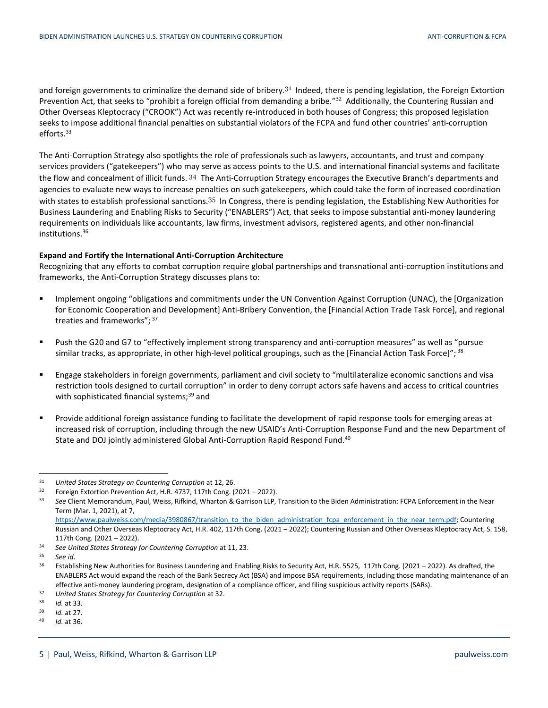and foreign governments to criminalize the demand side of bribery.<sup>[31](#page-4-0)</sup> Indeed, there is pending legislation, the Foreign Extortion Prevention Act, that seeks to "prohibit a foreign official from demanding a bribe."<sup>[32](#page-4-1)</sup> Additionally, the Countering Russian and Other Overseas Kleptocracy ("CROOK") Act was recently re-introduced in both houses of Congress; this proposed legislation seeks to impose additional financial penalties on substantial violators of the FCPA and fund other countries' anti-corruption efforts.<sup>[33](#page-4-2)</sup>

The Anti-Corruption Strategy also spotlights the role of professionals such as lawyers, accountants, and trust and company services providers ("gatekeepers") who may serve as access points to the U.S. and international financial systems and facilitate the flow and concealment of illicit funds. [34](#page-4-3) The Anti-Corruption Strategy encourages the Executive Branch's departments and agencies to evaluate new ways to increase penalties on such gatekeepers, which could take the form of increased coordination with states to establish professional sanctions.<sup>[35](#page-4-4)</sup> In Congress, there is pending legislation, the Establishing New Authorities for Business Laundering and Enabling Risks to Security ("ENABLERS") Act, that seeks to impose substantial anti-money laundering requirements on individuals like accountants, law firms, investment advisors, registered agents, and other non-financial institutions.[36](#page-4-5)

### **Expand and Fortify the International Anti-Corruption Architecture**

Recognizing that any efforts to combat corruption require global partnerships and transnational anti-corruption institutions and frameworks, the Anti-Corruption Strategy discusses plans to:

- **IMPLEMENT CONTEGHT IN A CONTEGHT OF STATE IS A** CONTEGHT IMPLEMENT Against Corruption (UNAC), the [Organization **In A CONTEGHT IN A CONTEGHT IN A CONTEGHT IN A CONTEGHT IN A CONTEGHT IN A CONTEGHT IN A CONTEGHT IN A CONTE** for Economic Cooperation and Development] Anti-Bribery Convention, the [Financial Action Trade Task Force], and regional treaties and frameworks"; [37](#page-4-6)
- Push the G20 and G7 to "effectively implement strong transparency and anti-corruption measures" as well as "pursue similar tracks, as appropriate, in other high-level political groupings, such as the [Financial Action Task Force]"; [38](#page-4-7)
- Engage stakeholders in foreign governments, parliament and civil society to "multilateralize economic sanctions and visa restriction tools designed to curtail corruption" in order to deny corrupt actors safe havens and access to critical countries with sophisticated financial systems;<sup>[39](#page-4-8)</sup> and
- Provide additional foreign assistance funding to facilitate the development of rapid response tools for emerging areas at increased risk of corruption, including through the new USAID's Anti-Corruption Response Fund and the new Department of State and DOJ jointly administered Global Anti-Corruption Rapid Respond Fund.<sup>[40](#page-4-9)</sup>

<sup>40</sup> *Id.* at 36.

<span id="page-4-1"></span><span id="page-4-0"></span><sup>31</sup> *United States Strategy on Countering Corruption* at 12, 26.

<span id="page-4-2"></span><sup>&</sup>lt;sup>32</sup> Foreign Extortion Prevention Act, H.R. 4737, 117th Cong. (2021 – 2022).<br><sup>33</sup> See Client Memorandum, Paul, Weiss, Bifkind, Wharton & Garrison LLP

<sup>33</sup> *See* Client Memorandum, Paul, Weiss, Rifkind, Wharton & Garrison LLP, Transition to the Biden Administration: FCPA Enforcement in the Near Term (Mar. 1, 2021), at 7,

https://www.paulweiss.com/media/3980867/transition\_to\_the\_biden\_administration\_fcpa\_enforcement\_in\_the\_near\_term.pdf; Countering Russian and Other Overseas Kleptocracy Act, H.R. 402, 117th Cong. (2021 – 2022); Countering Russian and Other Overseas Kleptocracy Act, S. 158, 117th Cong. (2021 – 2022).

<span id="page-4-4"></span><span id="page-4-3"></span><sup>34</sup> *See United States Strategy for Countering Corruption* at 11, 23.

<span id="page-4-5"></span><sup>35</sup> *See id*.

<sup>&</sup>lt;sup>36</sup> Establishing New Authorities for Business Laundering and Enabling Risks to Security Act, H.R. 5525, 117th Cong. (2021 – 2022). As drafted, the ENABLERS Act would expand the reach of the Bank Secrecy Act (BSA) and impose BSA requirements, including those mandating maintenance of an effective anti-money laundering program, designation of a compliance officer, and filing suspicious activity reports (SARs).

<span id="page-4-7"></span><span id="page-4-6"></span><sup>37</sup> *United States Strategy for Countering Corruption* at 32.

<span id="page-4-8"></span><sup>38</sup> *Id.* at 33.

<span id="page-4-9"></span>*Id.* at 27.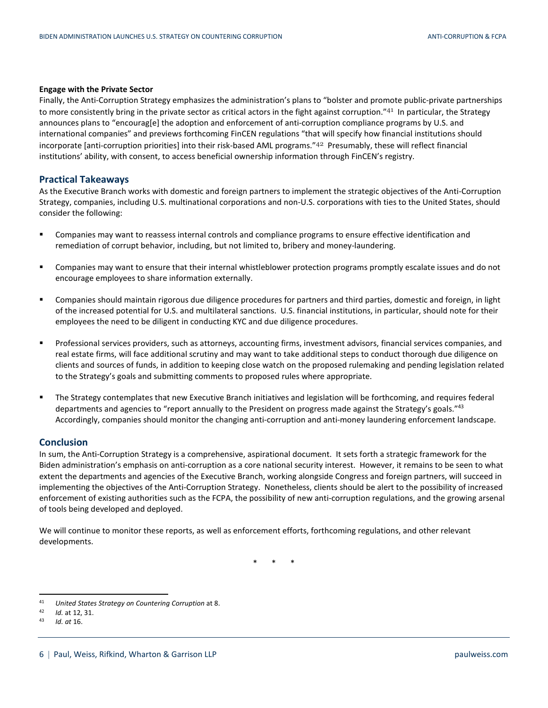#### **Engage with the Private Sector**

Finally, the Anti-Corruption Strategy emphasizes the administration's plans to "bolster and promote public-private partnerships to more consistently bring in the private sector as critical actors in the fight against corruption."<sup>[41](#page-5-0)</sup> In particular, the Strategy announces plans to "encourag[e] the adoption and enforcement of anti-corruption compliance programs by U.S. and international companies" and previews forthcoming FinCEN regulations "that will specify how financial institutions should incorporate [anti-corruption priorities] into their risk-based AML programs."[42](#page-5-1) Presumably, these will reflect financial institutions' ability, with consent, to access beneficial ownership information through FinCEN's registry.

#### **Practical Takeaways**

As the Executive Branch works with domestic and foreign partners to implement the strategic objectives of the Anti-Corruption Strategy, companies, including U.S. multinational corporations and non-U.S. corporations with ties to the United States, should consider the following:

- Companies may want to reassess internal controls and compliance programs to ensure effective identification and remediation of corrupt behavior, including, but not limited to, bribery and money-laundering.
- Companies may want to ensure that their internal whistleblower protection programs promptly escalate issues and do not encourage employees to share information externally.
- Companies should maintain rigorous due diligence procedures for partners and third parties, domestic and foreign, in light of the increased potential for U.S. and multilateral sanctions. U.S. financial institutions, in particular, should note for their employees the need to be diligent in conducting KYC and due diligence procedures.
- Professional services providers, such as attorneys, accounting firms, investment advisors, financial services companies, and real estate firms, will face additional scrutiny and may want to take additional steps to conduct thorough due diligence on clients and sources of funds, in addition to keeping close watch on the proposed rulemaking and pending legislation related to the Strategy's goals and submitting comments to proposed rules where appropriate.
- The Strategy contemplates that new Executive Branch initiatives and legislation will be forthcoming, and requires federal departments and agencies to "report annually to the President on progress made against the Strategy's goals."<sup>[43](#page-5-2)</sup> Accordingly, companies should monitor the changing anti-corruption and anti-money laundering enforcement landscape.

### **Conclusion**

In sum, the Anti-Corruption Strategy is a comprehensive, aspirational document. It sets forth a strategic framework for the Biden administration's emphasis on anti-corruption as a core national security interest. However, it remains to be seen to what extent the departments and agencies of the Executive Branch, working alongside Congress and foreign partners, will succeed in implementing the objectives of the Anti-Corruption Strategy. Nonetheless, clients should be alert to the possibility of increased enforcement of existing authorities such as the FCPA, the possibility of new anti-corruption regulations, and the growing arsenal of tools being developed and deployed.

We will continue to monitor these reports, as well as enforcement efforts, forthcoming regulations, and other relevant developments.

\* \* \*

<span id="page-5-1"></span><span id="page-5-0"></span><sup>41</sup> *United States Strategy on Countering Corruption* at 8.

<span id="page-5-2"></span><sup>42</sup> *Id.* at 12, 31.

<sup>43</sup> *Id. at* 16.